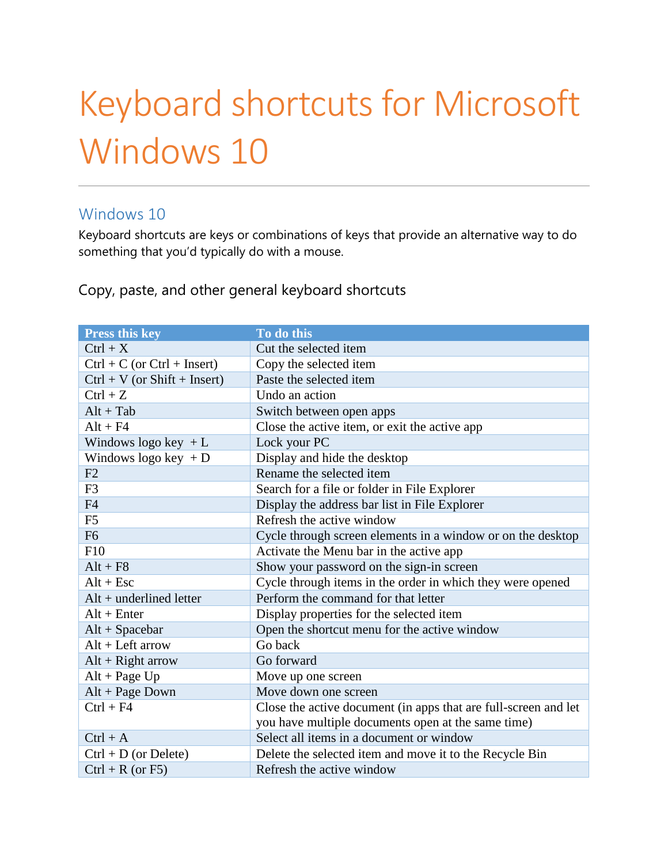# Keyboard shortcuts for Microsoft Windows 10

#### Windows 10

Keyboard shortcuts are keys or combinations of keys that provide an alternative way to do something that you'd typically do with a mouse.

Copy, paste, and other general keyboard shortcuts

| <b>Press this key</b>          | To do this                                                      |  |
|--------------------------------|-----------------------------------------------------------------|--|
| $Ctrl + X$                     | Cut the selected item                                           |  |
| $Ctrl + C (or Ctrl + Insert)$  | Copy the selected item                                          |  |
| $Ctrl + V (or Shift + Insert)$ | Paste the selected item                                         |  |
| $Ctrl + Z$                     | Undo an action                                                  |  |
| $Alt + Tab$                    | Switch between open apps                                        |  |
| $Alt + F4$                     | Close the active item, or exit the active app                   |  |
| Windows logo key $+L$          | Lock your PC                                                    |  |
| Windows logo key $+D$          | Display and hide the desktop                                    |  |
| F2                             | Rename the selected item                                        |  |
| F <sub>3</sub>                 | Search for a file or folder in File Explorer                    |  |
| F <sub>4</sub>                 | Display the address bar list in File Explorer                   |  |
| F <sub>5</sub>                 | Refresh the active window                                       |  |
| F <sub>6</sub>                 | Cycle through screen elements in a window or on the desktop     |  |
| F10                            | Activate the Menu bar in the active app                         |  |
| $Alt + F8$                     | Show your password on the sign-in screen                        |  |
| $Alt + Esc$                    | Cycle through items in the order in which they were opened      |  |
| $Alt + underlined letter$      | Perform the command for that letter                             |  |
| $Alt + Enter$                  | Display properties for the selected item                        |  |
| $Alt + Spacebar$               | Open the shortcut menu for the active window                    |  |
| $Alt + Left arrow$             | Go back                                                         |  |
| $Alt + Right arrow$            | Go forward                                                      |  |
| $Alt + Page Up$                | Move up one screen                                              |  |
| $Alt + Page Down$              | Move down one screen                                            |  |
| $Ctrl + F4$                    | Close the active document (in apps that are full-screen and let |  |
|                                | you have multiple documents open at the same time)              |  |
| $Ctrl + A$                     | Select all items in a document or window                        |  |
| $Ctrl + D (or Delete)$         | Delete the selected item and move it to the Recycle Bin         |  |
| $Ctrl + R (or F5)$             | Refresh the active window                                       |  |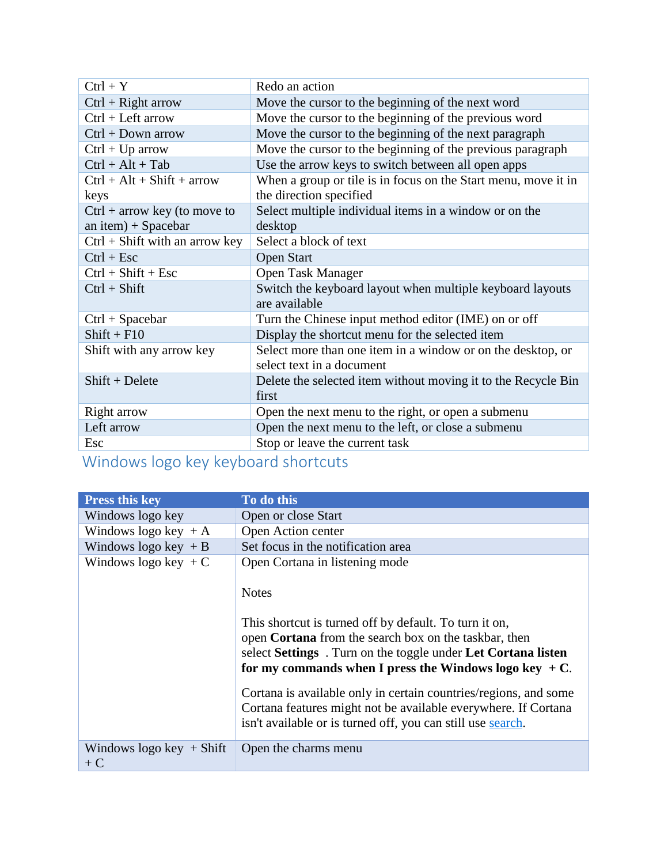| $Ctrl + Y$                       | Redo an action                                                                           |  |
|----------------------------------|------------------------------------------------------------------------------------------|--|
| $Ctrl + Right arrow$             | Move the cursor to the beginning of the next word                                        |  |
| $Ctrl + Left arrow$              | Move the cursor to the beginning of the previous word                                    |  |
| $Ctrl + Down arrow$              | Move the cursor to the beginning of the next paragraph                                   |  |
| $Ctrl + Up arrow$                | Move the cursor to the beginning of the previous paragraph                               |  |
| $Ctrl + Alt + Tab$               | Use the arrow keys to switch between all open apps                                       |  |
| $Ctrl + Alt + Shift + arrow$     | When a group or tile is in focus on the Start menu, move it in                           |  |
| keys                             | the direction specified                                                                  |  |
| $Ctrl + arrow key (to move to$   | Select multiple individual items in a window or on the                                   |  |
| an item) + Spacebar              | desktop                                                                                  |  |
| $Ctrl + Shift with an arrow key$ | Select a block of text                                                                   |  |
| $Ctrl + Esc$                     | <b>Open Start</b>                                                                        |  |
| $Ctrl + Shift + Esc$             | <b>Open Task Manager</b>                                                                 |  |
| $Ctrl + Shift$                   | Switch the keyboard layout when multiple keyboard layouts<br>are available               |  |
| $Ctrl + Spacebar$                | Turn the Chinese input method editor (IME) on or off                                     |  |
| $Shift + F10$                    | Display the shortcut menu for the selected item                                          |  |
| Shift with any arrow key         | Select more than one item in a window or on the desktop, or<br>select text in a document |  |
| $Shift + Delete$                 | Delete the selected item without moving it to the Recycle Bin<br>first                   |  |
| Right arrow                      | Open the next menu to the right, or open a submenu                                       |  |
| Left arrow                       | Open the next menu to the left, or close a submenu                                       |  |
| Esc                              | Stop or leave the current task                                                           |  |

#### Windows logo key keyboard shortcuts

| <b>Press this key</b>               | To do this                                                                                                                                                                                                                                                                                                                                                                                                                                                                                          |  |
|-------------------------------------|-----------------------------------------------------------------------------------------------------------------------------------------------------------------------------------------------------------------------------------------------------------------------------------------------------------------------------------------------------------------------------------------------------------------------------------------------------------------------------------------------------|--|
| Windows logo key                    | Open or close Start                                                                                                                                                                                                                                                                                                                                                                                                                                                                                 |  |
| Windows logo key $+A$               | Open Action center                                                                                                                                                                                                                                                                                                                                                                                                                                                                                  |  |
| Windows logo key $+ B$              | Set focus in the notification area                                                                                                                                                                                                                                                                                                                                                                                                                                                                  |  |
| Windows logo key $+C$               | Open Cortana in listening mode<br><b>Notes</b><br>This shortcut is turned off by default. To turn it on,<br>open Cortana from the search box on the taskbar, then<br>select Settings . Turn on the toggle under Let Cortana listen<br>for my commands when I press the Windows logo key $+C$ .<br>Cortana is available only in certain countries/regions, and some<br>Cortana features might not be available everywhere. If Cortana<br>isn't available or is turned off, you can still use search. |  |
|                                     |                                                                                                                                                                                                                                                                                                                                                                                                                                                                                                     |  |
| Windows logo key $+$ Shift<br>$+ C$ | Open the charms menu                                                                                                                                                                                                                                                                                                                                                                                                                                                                                |  |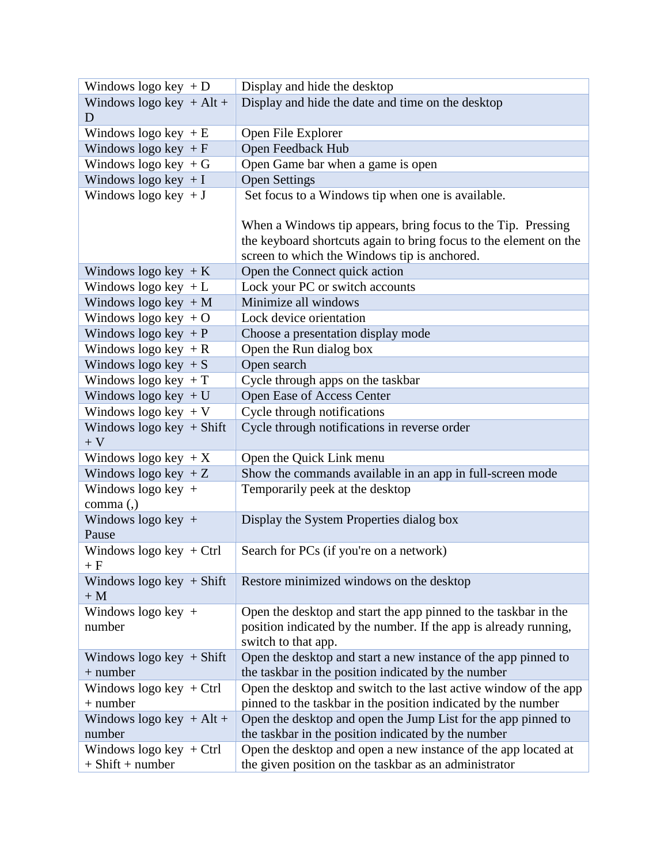| Windows logo key $+D$        | Display and hide the desktop                                      |  |
|------------------------------|-------------------------------------------------------------------|--|
| Windows logo key + Alt +     | Display and hide the date and time on the desktop                 |  |
| D                            |                                                                   |  |
| Windows logo key $+E$        | Open File Explorer                                                |  |
| Windows logo key $+ F$       | Open Feedback Hub                                                 |  |
| Windows logo key $+G$        | Open Game bar when a game is open                                 |  |
| Windows logo key $+I$        | <b>Open Settings</b>                                              |  |
| Windows logo key $+J$        | Set focus to a Windows tip when one is available.                 |  |
|                              |                                                                   |  |
|                              | When a Windows tip appears, bring focus to the Tip. Pressing      |  |
|                              | the keyboard shortcuts again to bring focus to the element on the |  |
|                              | screen to which the Windows tip is anchored.                      |  |
| Windows logo key $+K$        | Open the Connect quick action                                     |  |
| Windows logo key $+L$        | Lock your PC or switch accounts                                   |  |
| Windows logo key $+M$        | Minimize all windows                                              |  |
| Windows logo key $+O$        | Lock device orientation                                           |  |
| Windows logo key $+P$        | Choose a presentation display mode                                |  |
| Windows logo key $+R$        | Open the Run dialog box                                           |  |
| Windows logo key $+ S$       | Open search                                                       |  |
| Windows logo key $+T$        | Cycle through apps on the taskbar                                 |  |
| Windows logo key $+U$        | Open Ease of Access Center                                        |  |
| Windows logo key $+V$        | Cycle through notifications                                       |  |
| Windows logo key $+$ Shift   | Cycle through notifications in reverse order                      |  |
| $+$ ${\rm V}$                |                                                                   |  |
| Windows logo key $+X$        | Open the Quick Link menu                                          |  |
| Windows logo key $+Z$        | Show the commands available in an app in full-screen mode         |  |
| Windows logo key +           | Temporarily peek at the desktop                                   |  |
| comma (,)                    |                                                                   |  |
| Windows logo key +           | Display the System Properties dialog box                          |  |
| Pause                        |                                                                   |  |
| Windows logo key $+$ Ctrl    | Search for PCs (if you're on a network)                           |  |
| $+ F$                        |                                                                   |  |
| Windows logo key $+$ Shift   | Restore minimized windows on the desktop                          |  |
| $+M$                         |                                                                   |  |
| Windows logo key $+$         | Open the desktop and start the app pinned to the taskbar in the   |  |
| number                       | position indicated by the number. If the app is already running,  |  |
|                              | switch to that app.                                               |  |
| Windows logo key $+$ Shift   | Open the desktop and start a new instance of the app pinned to    |  |
| $+$ number                   | the taskbar in the position indicated by the number               |  |
| Windows logo key $+$ Ctrl    | Open the desktop and switch to the last active window of the app  |  |
| $+$ number                   | pinned to the taskbar in the position indicated by the number     |  |
| Windows logo key $+$ Alt $+$ | Open the desktop and open the Jump List for the app pinned to     |  |
| number                       | the taskbar in the position indicated by the number               |  |
| Windows logo key $+$ Ctrl    | Open the desktop and open a new instance of the app located at    |  |
| $+$ Shift $+$ number         | the given position on the taskbar as an administrator             |  |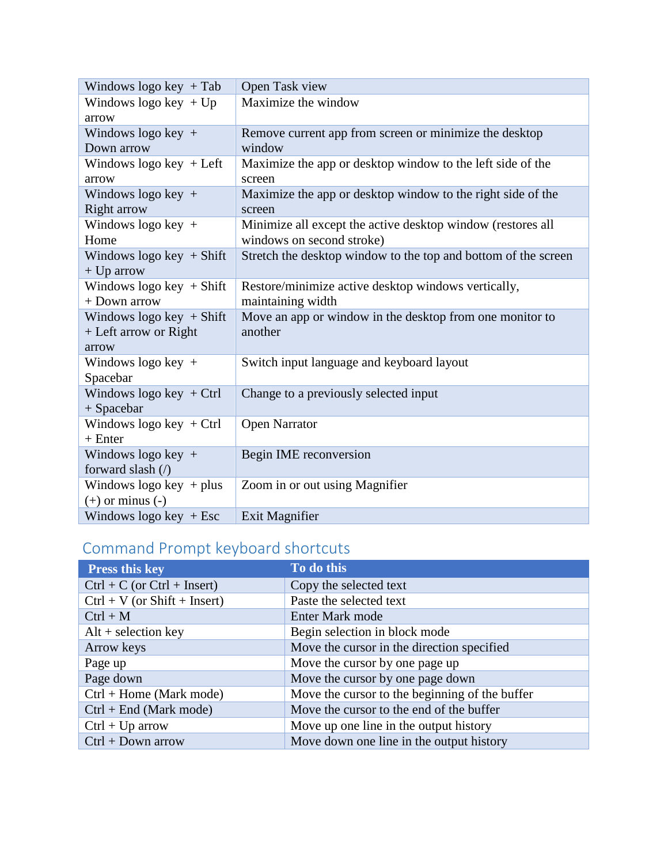| Windows logo key $+$ Tab      | Open Task view                                                 |
|-------------------------------|----------------------------------------------------------------|
| Windows logo key $+Up$        | Maximize the window                                            |
| arrow                         |                                                                |
| Windows logo key +            | Remove current app from screen or minimize the desktop         |
| Down arrow                    | window                                                         |
| Windows logo key $+$ Left     | Maximize the app or desktop window to the left side of the     |
| arrow                         | screen                                                         |
| Windows logo key $+$          | Maximize the app or desktop window to the right side of the    |
| <b>Right arrow</b>            | screen                                                         |
| Windows logo key $+$          | Minimize all except the active desktop window (restores all    |
| Home                          | windows on second stroke)                                      |
| Windows $logo key + Shift$    | Stretch the desktop window to the top and bottom of the screen |
| $+$ Up arrow                  |                                                                |
| Windows $logo key + Shift$    | Restore/minimize active desktop windows vertically,            |
| + Down arrow                  | maintaining width                                              |
| Windows $logo key + Shift$    | Move an app or window in the desktop from one monitor to       |
| + Left arrow or Right         | another                                                        |
| arrow                         |                                                                |
| Windows logo key $+$          | Switch input language and keyboard layout                      |
| Spacebar                      |                                                                |
| Windows logo key $+$ Ctrl     | Change to a previously selected input                          |
| $+$ Spacebar                  |                                                                |
| Windows $logo key + Ctrl$     | <b>Open Narrator</b>                                           |
| $+$ Enter                     |                                                                |
| Windows logo key $+$          | Begin IME reconversion                                         |
| forward slash $\left(\right)$ |                                                                |
| Windows logo key $+$ plus     | Zoom in or out using Magnifier                                 |
| $(+)$ or minus $(-)$          |                                                                |
| Windows logo key $+$ Esc      | Exit Magnifier                                                 |

## Command Prompt keyboard shortcuts

| <b>Press this key</b>             | To do this                                     |
|-----------------------------------|------------------------------------------------|
| $Ctrl + C$ (or $Ctrl + Insert)$ ) | Copy the selected text                         |
| $Ctrl + V (or Shift + Insert)$    | Paste the selected text                        |
| $Ctrl + M$                        | Enter Mark mode                                |
| $Alt + selection key$             | Begin selection in block mode                  |
| Arrow keys                        | Move the cursor in the direction specified     |
| Page up                           | Move the cursor by one page up                 |
| Page down                         | Move the cursor by one page down               |
| $Ctrl + Home (Mark mode)$         | Move the cursor to the beginning of the buffer |
| $Ctrl + End (Mark mode)$          | Move the cursor to the end of the buffer       |
| $Ctrl + Up arrow$                 | Move up one line in the output history         |
| $Ctrl + Down arrow$               | Move down one line in the output history       |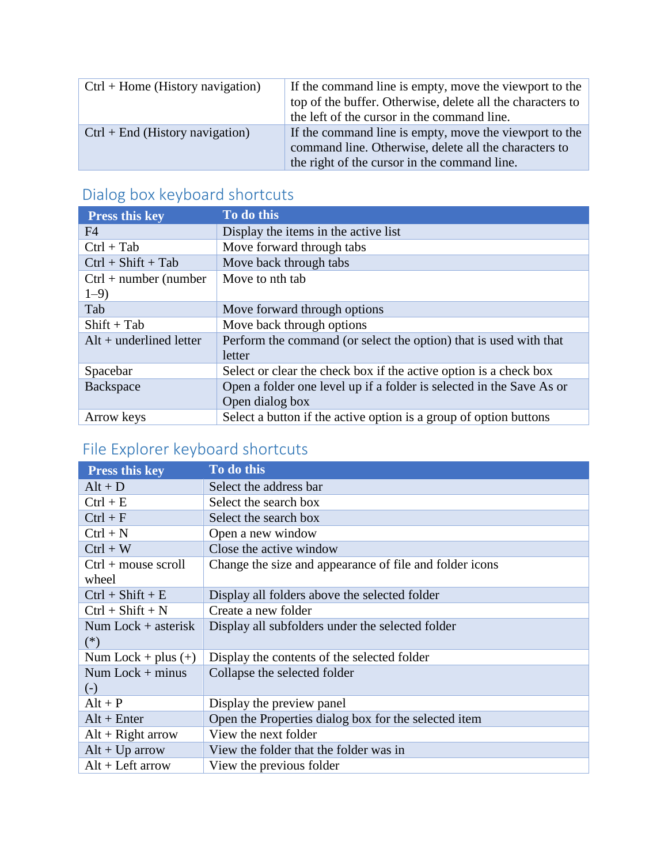| $Ctrl + Home$ (History navigation) | If the command line is empty, move the viewport to the<br>top of the buffer. Otherwise, delete all the characters to<br>the left of the cursor in the command line. |
|------------------------------------|---------------------------------------------------------------------------------------------------------------------------------------------------------------------|
| $Ctrl + End (History navigation)$  | If the command line is empty, move the viewport to the<br>command line. Otherwise, delete all the characters to<br>the right of the cursor in the command line.     |

### Dialog box keyboard shortcuts

| <b>Press this key</b>     | To do this                                                           |
|---------------------------|----------------------------------------------------------------------|
| F4                        | Display the items in the active list                                 |
| $Ctrl + Tab$              | Move forward through tabs                                            |
| $Ctrl + Shift + Tab$      | Move back through tabs                                               |
| $Ctrl + number (number)$  | Move to nth tab                                                      |
| $1 - 9$                   |                                                                      |
| Tab                       | Move forward through options                                         |
| $Shift + Tab$             | Move back through options                                            |
| $Alt + underlined letter$ | Perform the command (or select the option) that is used with that    |
|                           | letter                                                               |
| Spacebar                  | Select or clear the check box if the active option is a check box    |
| Backspace                 | Open a folder one level up if a folder is selected in the Save As or |
|                           | Open dialog box                                                      |
| Arrow keys                | Select a button if the active option is a group of option buttons    |

## File Explorer keyboard shortcuts

| <b>Press this key</b>          | To do this                                              |
|--------------------------------|---------------------------------------------------------|
| $Alt + D$                      | Select the address bar                                  |
| $Ctrl + E$                     | Select the search box                                   |
| $Ctrl + F$                     | Select the search box                                   |
| $Ctrl + N$                     | Open a new window                                       |
| $Ctrl + W$                     | Close the active window                                 |
| $Ctrl + mouse scroll$<br>wheel | Change the size and appearance of file and folder icons |
| $Ctrl + Shift + E$             | Display all folders above the selected folder           |
| $Ctrl + Shift + N$             | Create a new folder                                     |
| Num Lock $+$ asterisk<br>$(*)$ | Display all subfolders under the selected folder        |
| Num Lock + plus $(+)$          | Display the contents of the selected folder             |
| Num Lock $+$ minus<br>$(-)$    | Collapse the selected folder                            |
| $Alt + P$                      | Display the preview panel                               |
| $Alt + Enter$                  | Open the Properties dialog box for the selected item    |
| $Alt + Right arrow$            | View the next folder                                    |
| $Alt + Up arrow$               | View the folder that the folder was in                  |
| $Alt + Left arrow$             | View the previous folder                                |